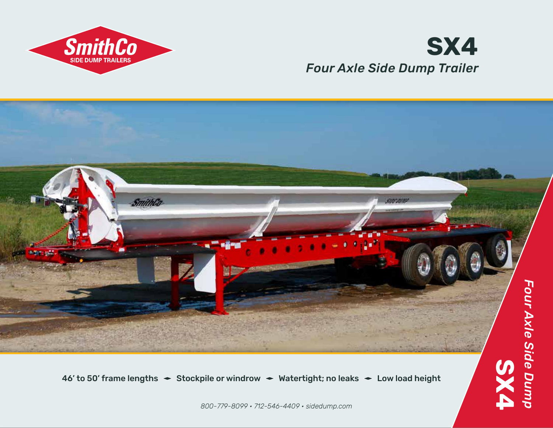

## *Four Axle Side Dump Trailer* **SX4**



46' to 50' frame lengths  $\div$  Stockpile or windrow  $\div$  Watertight; no leaks  $\div$  Low load height

*800-779-8099 • 712-546-4409 • sidedump.com*